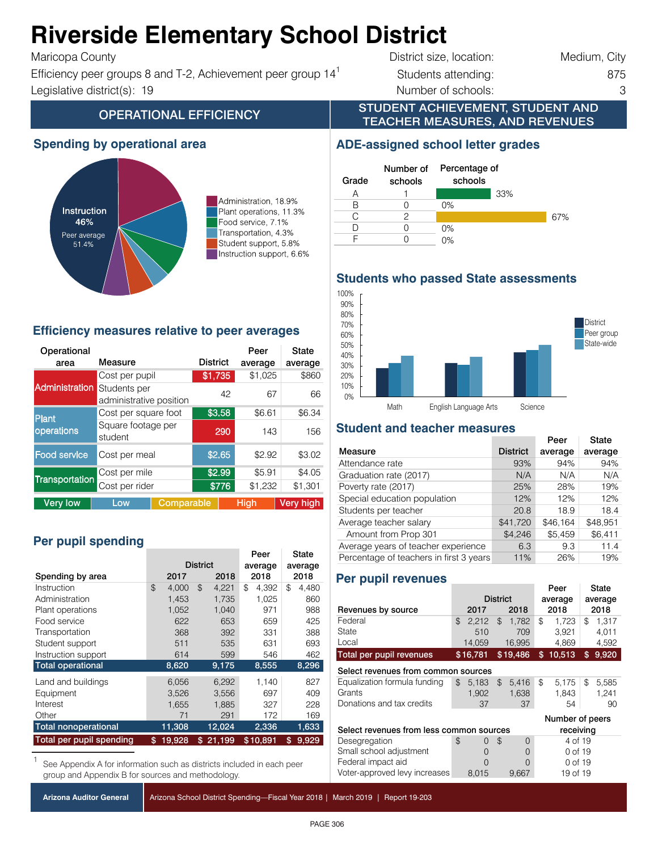### Ahizayaida Elamantan, **Riverside Elementary School District**

 $\mathbf{f}$  ,  $\mathbf{f}$   $\mathbf{f}$   $\mathbf{f}$   $\mathbf{f}$   $\mathbf{f}$   $\mathbf{f}$   $\mathbf{f}$   $\mathbf{f}$  $T$ anc $Q$ pa County

Efficiency peer groups 8 and T-2, Achievement peer group  $14<sup>1</sup>$  Students attending: 875 Instruction support 6.6%  $\frac{1}{\sqrt{2}}$  instruction support 6.6% Instruction support, 6.6% Instruction support, 6.6% Instruction support, 6.6% Instruction support, 6.6% Instruction support, 6.6% Instruction support, 6.6% In Legislative district(s): 19 and 100.000 minimum (showled a 100.00 minimum entries a 100.00 minimum entries a 1

District size, location: Medium, City

33%

67%

#### STUDENT ACHIEVEMENT, STUDENT AND TEACHER MEASURES, AND REVENUES **OPERATIONAL EFFICIENCY**

### **Spending by operational area**



Administration, 18.9% Plant operations, 11.3% Food service, 7.1% Transportation, 4.3% Student support, 5.8% Instruction support, 6.6%

### **Efficiency measures relative to peer averages**

| Operational<br>area   | Measure                                 |            | <b>District</b> |        | Peer<br>average | State<br>average |  |
|-----------------------|-----------------------------------------|------------|-----------------|--------|-----------------|------------------|--|
|                       | Cost per pupil                          |            | \$1,735         |        | \$1,025         | \$860            |  |
| <b>Administration</b> | Students per<br>administrative position |            |                 | 42     | 67              | 66               |  |
| Plant                 | Cost per square foot                    |            | \$3.58          | \$6.61 | \$6.34          |                  |  |
| operations            | Square footage per<br>student           |            |                 | 290    | 143             | 156              |  |
| <b>Food service</b>   | Cost per meal                           |            |                 | \$2.65 | \$2.92          | \$3.02           |  |
|                       | Cost per mile                           |            |                 | \$2.99 | \$5.91          | \$4.05           |  |
| <b>Transportation</b> | Cost per rider                          |            |                 | \$776  | \$1,232         | \$1,301          |  |
| <b>Very low</b>       | Low                                     | Comparable |                 |        | <b>High</b>     | <b>Very high</b> |  |

## Per pupil spending

|                                 |              |                 | Peer        | State       |  |
|---------------------------------|--------------|-----------------|-------------|-------------|--|
|                                 |              | <b>District</b> | average     | average     |  |
| Spending by area                | 2017<br>2018 |                 | 2018        | 2018        |  |
| Instruction                     | \$<br>4.000  | \$<br>4,221     | \$<br>4.392 | \$<br>4,480 |  |
| Administration                  | 1,453        | 1,735           | 1,025       | 860         |  |
| Plant operations                | 1,052        | 1,040           | 971         | 988         |  |
| Food service                    | 622          | 653             | 659         | 425         |  |
| Transportation                  | 368          | 392             | 331         | 388         |  |
| Student support                 | 511          | 535             | 631         | 693         |  |
| Instruction support             | 614          | 599             | 546         | 462         |  |
| <b>Total operational</b>        | 8,620        | 9,175           | 8,555       | 8,296       |  |
| Land and buildings              | 6,056        | 6,292           | 1.140       | 827         |  |
| Equipment                       | 3,526        | 3,556           | 697         | 409         |  |
| Interest                        | 1,655        | 1,885           | 327         | 228         |  |
| Other                           | 71           | 291             | 172         | 169         |  |
| <b>Total nonoperational</b>     | 11,308       | 12,024          | 2,336       | 1,633       |  |
| <b>Total per pupil spending</b> | 19,928<br>\$ | 21,199<br>\$    | \$10,891    | 9,929<br>\$ |  |

See Appendix A for information such as districts included in each peer group and Appendix B for sources and methodology.

Arizona School District Spending—Fiscal Year 2018 | March 2019 | Report 19-203

#### CTD: 070402 Riverside ESD **Do not make changes to chart** F 0 0%

0%

0%

Percentage of schools

**ADE-assigned school letter grades**

Grade

A 1 B 0 C 2 D 0

Number of schools

**Students who passed State assessments**



### **Student and teacher measures**

|                                         |                 | Peer     | State    |
|-----------------------------------------|-----------------|----------|----------|
| Measure                                 | <b>District</b> | average  | average  |
| Attendance rate                         | 93%             | 94%      | 94%      |
| Graduation rate (2017)                  | N/A             | N/A      | N/A      |
| Poverty rate (2017)                     | 25%             | 28%      | 19%      |
| Special education population            | 12%             | 12%      | 12%      |
| Students per teacher                    | 20.8            | 18.9     | 18.4     |
| Average teacher salary                  | \$41,720        | \$46.164 | \$48,951 |
| Amount from Prop 301                    | \$4,246         | \$5,459  | \$6,411  |
| Average years of teacher experience     | 6.3             | 9.3      | 11.4     |
| Percentage of teachers in first 3 years | 11%             | 26%      | 19%      |

### **Per pupil revenues**

|                                                       |                 |          |                |          |         | Peer     |    | State |
|-------------------------------------------------------|-----------------|----------|----------------|----------|---------|----------|----|-------|
|                                                       | <b>District</b> |          | average        |          | average |          |    |       |
| Revenues by source                                    |                 | 2017     |                | 2018     |         | 2018     |    | 2018  |
| Federal                                               | \$              | 2.212    | $\mathfrak{L}$ | 1.782    | \$      | 1.723    | \$ | 1.317 |
| State                                                 |                 | 510      |                | 709      |         | 3.921    |    | 4.011 |
| Local                                                 |                 | 14,059   |                | 16,995   |         | 4,869    |    | 4,592 |
| Total per pupil revenues                              |                 | \$16,781 |                | \$19,486 | \$      | 10,513   | \$ | 9,920 |
| Select revenues from common sources                   |                 |          |                |          |         |          |    |       |
| Equalization formula funding                          | \$              | 5,183    | $\mathfrak{L}$ | 5,416    | \$      | 5,175    | \$ | 5,585 |
| Grants                                                |                 | 1,902    |                | 1,638    |         | 1,843    |    | 1,241 |
| Donations and tax credits                             |                 | 37       |                | 37       |         | 54       |    | 90    |
|                                                       | Number of peers |          |                |          |         |          |    |       |
| Select revenues from less common sources<br>receiving |                 |          |                |          |         |          |    |       |
| Desegregation                                         | \$              | 0        | $\mathfrak{L}$ | 0        |         | 4 of 19  |    |       |
| Small school adjustment                               |                 | $\Omega$ |                | 0        |         | 0 of 19  |    |       |
| Federal impact aid                                    |                 | 0        |                | $\Omega$ |         | 0 of 19  |    |       |
| Voter-approved levy increases                         |                 | 8,015    |                | 9,667    |         | 19 of 19 |    |       |

PAGE 306  $R_{\rm c}$